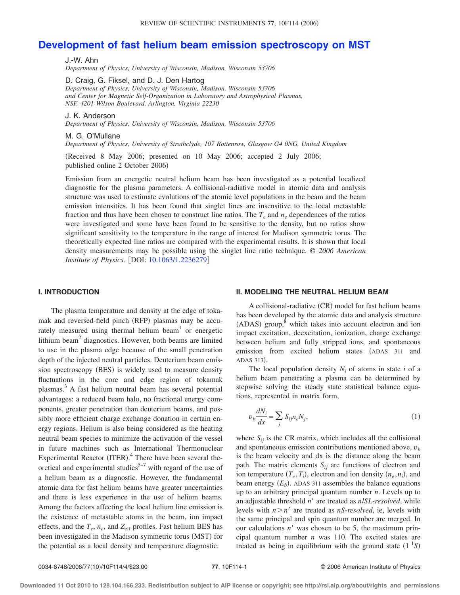# **[Development of fast helium beam emission spectroscopy on MST](http://dx.doi.org/10.1063/1.2236279)**

J.-W. Ahn *Department of Physics, University of Wisconsin, Madison, Wisconsin 53706*

D. Craig, G. Fiksel, and D. J. Den Hartog *Department of Physics, University of Wisconsin, Madison, Wisconsin 53706 and Center for Magnetic Self-Organization in Laboratory and Astrophysical Plasmas, NSF, 4201 Wilson Boulevard, Arlington, Virginia 22230*

J. K. Anderson

*Department of Physics, University of Wisconsin, Madison, Wisconsin 53706*

M. G. O'Mullane

*Department of Physics, University of Strathclyde, 107 Rottenrow, Glasgow G4 0NG, United Kingdom*

(Received 8 May 2006; presented on 10 May 2006; accepted 2 July 2006; published online 2 October 2006)

Emission from an energetic neutral helium beam has been investigated as a potential localized diagnostic for the plasma parameters. A collisional-radiative model in atomic data and analysis structure was used to estimate evolutions of the atomic level populations in the beam and the beam emission intensities. It has been found that singlet lines are insensitive to the local metastable fraction and thus have been chosen to construct line ratios. The  $T_e$  and  $n_e$  dependences of the ratios were investigated and some have been found to be sensitive to the density, but no ratios show significant sensitivity to the temperature in the range of interest for Madison symmetric torus. The theoretically expected line ratios are compared with the experimental results. It is shown that local density measurements may be possible using the singlet line ratio technique. *© 2006 American Institute of Physics.* [DOI: [10.1063/1.2236279](http://dx.doi.org/10.1063/1.2236279)]

### **I. INTRODUCTION**

The plasma temperature and density at the edge of tokamak and reversed-field pinch (RFP) plasmas may be accurately measured using thermal helium beam<sup>1</sup> or energetic lithium beam<sup>2</sup> diagnostics. However, both beams are limited to use in the plasma edge because of the small penetration depth of the injected neutral particles. Deuterium beam emission spectroscopy (BES) is widely used to measure density fluctuations in the core and edge region of tokamak plasmas.3 A fast helium neutral beam has several potential advantages: a reduced beam halo, no fractional energy components, greater penetration than deuterium beams, and possibly more efficient charge exchange donation in certain energy regions. Helium is also being considered as the heating neutral beam species to minimize the activation of the vessel in future machines such as International Thermonuclear Experimental Reactor (ITER).<sup>4</sup> There have been several theoretical and experimental studies $5-7$  with regard of the use of a helium beam as a diagnostic. However, the fundamental atomic data for fast helium beams have greater uncertainties and there is less experience in the use of helium beams. Among the factors affecting the local helium line emission is the existence of metastable atoms in the beam, ion impact effects, and the  $T_e$ ,  $n_e$ , and  $Z_{\text{eff}}$  profiles. Fast helium BES has been investigated in the Madison symmetric torus (MST) for the potential as a local density and temperature diagnostic.

## **II. MODELING THE NEUTRAL HELIUM BEAM**

A collisional-radiative  $(CR)$  model for fast helium beams has been developed by the atomic data and analysis structure  $(ADAS)$  group,  $\delta$  which takes into account electron and ion impact excitation, deexcitation, ionization, charge exchange between helium and fully stripped ions, and spontaneous emission from excited helium states (ADAS 311 and ADAS 313).

The local population density  $N_i$  of atoms in state  $i$  of a helium beam penetrating a plasma can be determined by stepwise solving the steady state statistical balance equations, represented in matrix form,

$$
v_b \frac{dN_i}{dx} = \sum_j S_{ij} n_e N_j,\tag{1}
$$

where  $S_{ij}$  is the CR matrix, which includes all the collisional and spontaneous emission contributions mentioned above, *v<sup>b</sup>* is the beam velocity and dx is the distance along the beam path. The matrix elements  $S_{ij}$  are functions of electron and ion temperature  $(T_e, T_i)$ , electron and ion density  $(n_e, n_i)$ , and beam energy  $(E_b)$ . ADAS 311 assembles the balance equations up to an arbitrary principal quantum number *n*. Levels up to an adjustable threshold *n*! are treated as *nlSL*-*resolved*, while levels with  $n > n'$  are treated as *nS-resolved*, ie, levels with the same principal and spin quantum number are merged. In our calculations *n'* was chosen to be 5, the maximum principal quantum number *n* was 110. The excited states are treated as being in equilibrium with the ground state  $(1<sup>1</sup>S)$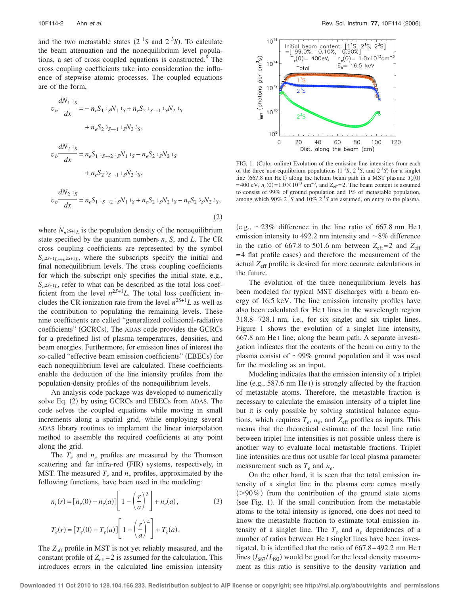and the two metastable states  $(2<sup>1</sup>S$  and  $2<sup>3</sup>S)$ . To calculate the beam attenuation and the nonequilibrium level populations, a set of cross coupled equations is constructed.<sup>8</sup> The cross coupling coefficients take into consideration the influence of stepwise atomic processes. The coupled equations are of the form,

$$
v_b \frac{dN_1}{dx} = -n_e S_1^{-1} sN_1^{-1} s + n_e S_2^{-1} s \to 1^{-1} sN_2^{-1} s
$$
  
+  $n_e S_2^{-3} s \to 1^{-1} sN_2^{-3} s$ ,  

$$
v_b \frac{dN_2^{-1} s}{dx} = n_e S_1^{-1} s \to 2^{-1} sN_1^{-1} s - n_e S_2^{-1} sN_2^{-1} s
$$

$$
+ n_e S_2 \, {}^3S \rightarrow 1 \, {}^1S N_2 \, {}^3S
$$

$$
v_b \frac{dN_2}{dx} = n_e S_1 \,^{1}S \rightarrow 2 \,^{1}S_1 N_1 \,^{1}S + n_e S_2 \,^{1}S_1 N_2 \,^{1}S - n_e S_2 \,^{3}S_1 N_2 \,^{3}S, \tag{2}
$$

where  $N_n$ <sup>25+1</sup>L is the population density of the nonequilibrium state specified by the quantum numbers *n*, *S*, and *L*. The CR cross coupling coefficients are represented by the symbol  $S_n$ <sup>25+1</sup> $L_{n-1}$ <sup>25+1</sup> $L$ , where the subscripts specify the initial and final nonequilibrium levels. The cross coupling coefficients for which the subscript only specifies the initial state, e.g.,  $S_n$ <sup>25+1</sup>L, refer to what can be described as the total loss coefficient from the level  $n^{2S+1}L$ . The total loss coefficient includes the CR ionization rate from the level  $n^{2S+1}L$  as well as the contribution to populating the remaining levels. These nine coefficients are called "generalized collisional-radiative coefficients" (GCRCs). The ADAS code provides the GCRCs for a predefined list of plasma temperatures, densities, and beam energies. Furthermore, for emission lines of interest the so-called "effective beam emission coefficients" (EBECs) for each nonequilibrium level are calculated. These coefficients enable the deduction of the line intensity profiles from the population-density profiles of the nonequilibrium levels.

An analysis code package was developed to numerically solve Eq.  $(2)$  by using GCRCs and EBECs from ADAS. The code solves the coupled equations while moving in small increments along a spatial grid, while employing several ADAS library routines to implement the linear interpolation method to assemble the required coefficients at any point along the grid.

The  $T_e$  and  $n_e$  profiles are measured by the Thomson scattering and far infra-red (FIR) systems, respectively, in MST. The measured  $T_e$  and  $n_e$  profiles, approximated by the following functions, have been used in the modeling:

$$
n_e(r) = [n_e(0) - n_e(a)] \left[ 1 - \left(\frac{r}{a}\right)^3 \right] + n_e(a),
$$
\n
$$
T_e(r) = [T_e(0) - T_e(a)] \left[ 1 - \left(\frac{r}{a}\right)^4 \right] + T_e(a).
$$
\n(3)

The *Z*eff profile in MST is not yet reliably measured, and the constant profile of  $Z_{\text{eff}}=2$  is assumed for the calculation. This introduces errors in the calculated line emission intensity



FIG. 1. (Color online) Evolution of the emission line intensities from each of the three non-equilibrium populations  $(1<sup>1</sup>S, 2<sup>1</sup>S,$  and  $2<sup>3</sup>S)$  for a singlet line (667.8 nm He I) along the helium beam path in a MST plasma:  $T_e(0)$ = 400 eV,  $n_e$ (0) = 1.0 × 10<sup>13</sup> cm<sup>-3</sup>, and  $Z_{eff}$  = 2. The beam content is assumed to consist of 99% of ground population and 1% of metastable population, among which 90%  $2^{3}S$  and 10%  $2^{1}S$  are assumed, on entry to the plasma.

(e.g.,  $\sim$ 23% difference in the line ratio of 667.8 nm He I emission intensity to 492.2 nm intensity and  $\sim$ 8% difference in the ratio of 667.8 to 501.6 nm between  $Z_{\text{eff}}=2$  and  $Z_{\text{eff}}$  $=$  4 flat profile cases) and therefore the measurement of the actual *Z*eff profile is desired for more accurate calculations in the future.

The evolution of the three nonequilibrium levels has been modeled for typical MST discharges with a beam energy of 16.5 keV. The line emission intensity profiles have also been calculated for He I lines in the wavelength region 318.8– 728.1 nm, i.e., for six singlet and six triplet lines. Figure 1 shows the evolution of a singlet line intensity, 667.8 nm He I line, along the beam path. A separate investigation indicates that the contents of the beam on entry to the plasma consist of  $\sim$ 99% ground population and it was used for the modeling as an input.

Modeling indicates that the emission intensity of a triplet line  $(e.g., 587.6 \text{ nm He I})$  is strongly affected by the fraction of metastable atoms. Therefore, the metastable fraction is necessary to calculate the emission intensity of a triplet line but it is only possible by solving statistical balance equations, which requires  $T_e$ ,  $n_e$ , and  $Z_{\text{eff}}$  profiles as inputs. This means that the theoretical estimate of the local line ratio between triplet line intensities is not possible unless there is another way to evaluate local metastable fractions. Triplet line intensities are thus not usable for local plasma parameter measurement such as *Te* and *ne*.

On the other hand, it is seen that the total emission intensity of a singlet line in the plasma core comes mostly  $($ >90%) from the contribution of the ground state atoms  $(see Fig. 1).$  If the small contribution from the metastable atoms to the total intensity is ignored, one does not need to know the metastable fraction to estimate total emission intensity of a singlet line. The  $T_e$  and  $n_e$  dependences of a number of ratios between He I singlet lines have been investigated. It is identified that the ratio of 667.8– 492.2 nm He I lines  $(I_{667}/I_{492})$  would be good for the local density measurement as this ratio is sensitive to the density variation and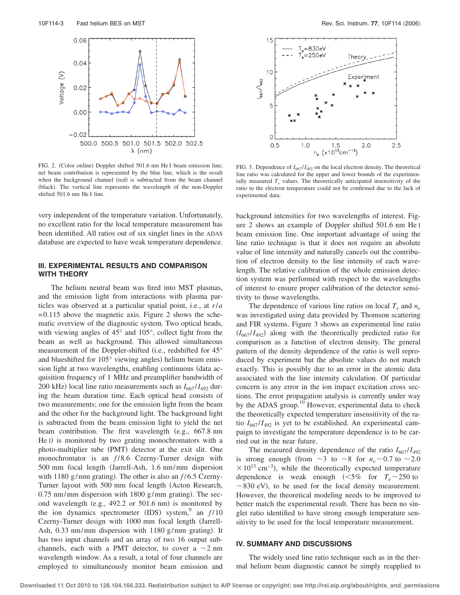

FIG. 2. (Color online) Doppler shifted 501.6 nm He I beam emission line; net beam contribution is represented by the blue line, which is the result when the background channel (red) is subtracted from the beam channel (black). The vertical line represents the wavelength of the non-Doppler shifted 501.6 nm He I line.

very independent of the temperature variation. Unfortunately, no excellent ratio for the local temperature measurement has been identified. All ratios out of six singlet lines in the ADAS database are expected to have weak temperature dependence.

### **III. EXPERIMENTAL RESULTS AND COMPARISON WITH THEORY**

The helium neutral beam was fired into MST plasmas, and the emission light from interactions with plasma particles was observed at a particular spatial point, i.e., at *r*/*a*  $= 0.115$  above the magnetic axis. Figure 2 shows the schematic overview of the diagnostic system. Two optical heads, with viewing angles of 45° and 105°, collect light from the beam as well as background. This allowed simultaneous measurement of the Doppler-shifted (i.e., redshifted for 45° and blueshifted for 105° viewing angles) helium beam emission light at two wavelengths, enabling continuous (data acquisition frequency of 1 MHz and preamplifier bandwidth of 200 kHz) local line ratio measurements such as  $I_{667}/I_{492}$  during the beam duration time. Each optical head consists of two measurements; one for the emission light from the beam and the other for the background light. The background light is subtracted from the beam emission light to yield the net beam contribution. The first wavelength (e.g., 667.8 nm He I) is monitored by two grating monochromators with a photo-multiplier tube (PMT) detector at the exit slit. One monochromator is an  $f/8.6$  Czerny-Turner design with 500 mm focal length (Jarrell-Ash, 1.6 nm/mm dispersion with 1180 g/mm grating). The other is also an  $f/6.5$  Czerny-Turner layout with 500 mm focal length (Acton Research,  $0.75$  nm/mm dispersion with 1800 g/mm grating). The second wavelength (e.g.,  $492.2$  or  $501.6$  nm) is monitored by the ion dynamics spectrometer  $(IDS)$  system,<sup>9</sup> an  $f/10$ Czerny-Turner design with 1000 mm focal length (Jarrell-Ash,  $0.33 \text{ nm/mm}$  dispersion with 1180 g/mm grating). It has two input channels and an array of two 16 output subchannels, each with a PMT detector, to cover a  $\sim$ 2 nm wavelength window. As a result, a total of four channels are employed to simultaneously monitor beam emission and



FIG. 3. Dependence of  $I_{667}/I_{492}$  on the local electron density. The theoretical line ratio was calculated for the upper and lower bounds of the experimentally measured  $T_e$  values. The theoretically anticipated insensitivity of the ratio to the electron temperature could not be confirmed due to the lack of experimental data.

background intensities for two wavelengths of interest. Figure 2 shows an example of Doppler shifted 501.6 nm He I beam emission line. One important advantage of using the line ratio technique is that it does not require an absolute value of line intensity and naturally cancels out the contribution of electron density to the line intensity of each wavelength. The relative calibration of the whole emission detection system was performed with respect to the wavelengths of interest to ensure proper calibration of the detector sensitivity to those wavelengths.

The dependence of various line ratios on local  $T_e$  and  $n_e$ was investigated using data provided by Thomson scattering and FIR systems. Figure 3 shows an experimental line ratio  $(I_{667}/I_{492})$  along with the theoretically predicted ratio for comparison as a function of electron density. The general pattern of the density dependence of the ratio is well reproduced by experiment but the absolute values do not match exactly. This is possibly due to an error in the atomic data associated with the line intensity calculation. Of particular concern is any error in the ion impact excitation cross sections. The error propagation analysis is currently under way by the ADAS group.<sup>10</sup> However, experimental data to check the theoretically expected temperature insensitivity of the ratio  $I_{667}/I_{492}$  is yet to be established. An experimental campaign to investigate the temperature dependence is to be carried out in the near future.

The measured density dependence of the ratio  $I_{667}/I_{492}$ is strong enough (from  $\sim$ 3 to  $\sim$ 8 for  $n_e$   $\sim$  0.7 to  $\sim$  2.0  $\times 10^{13}$  cm<sup>-3</sup>), while the theoretically expected temperature dependence is weak enough  $(<5\%$  for  $T_e \sim 250$  to  $\sim$  830 eV), to be used for the local density measurement. However, the theoretical modeling needs to be improved to better match the experimental result. There has been no singlet ratio identified to have strong enough temperature sensitivity to be used for the local temperature measurement.

#### **IV. SUMMARY AND DISCUSSIONS**

The widely used line ratio technique such as in the thermal helium beam diagnostic cannot be simply reapplied to